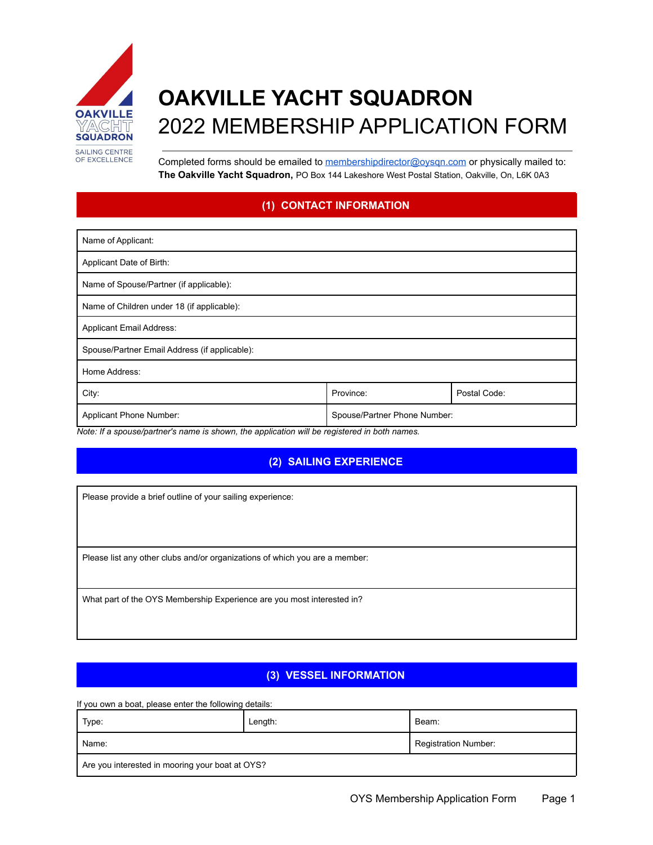

# **OAKVILLE YACHT SQUADRON** 2022 MEMBERSHIP APPLICATION FORM

Completed forms should be emailed to [membershipdirector@oysqn.com](mailto:membershipdirector@oysqn.com) or physically mailed to: **The Oakville Yacht Squadron,** PO Box 144 Lakeshore West Postal Station, Oakville, On, L6K 0A3

## **(1) CONTACT INFORMATION**

| Name of Applicant:                            |                              |              |  |
|-----------------------------------------------|------------------------------|--------------|--|
| Applicant Date of Birth:                      |                              |              |  |
| Name of Spouse/Partner (if applicable):       |                              |              |  |
| Name of Children under 18 (if applicable):    |                              |              |  |
| <b>Applicant Email Address:</b>               |                              |              |  |
| Spouse/Partner Email Address (if applicable): |                              |              |  |
| Home Address:                                 |                              |              |  |
| City:                                         | Province:                    | Postal Code: |  |
| Applicant Phone Number:                       | Spouse/Partner Phone Number: |              |  |

*Note: If a spouse/partner's name is shown, the application will be registered in both names.*

## **(2) SAILING EXPERIENCE**

Please provide a brief outline of your sailing experience:

Please list any other clubs and/or organizations of which you are a member:

What part of the OYS Membership Experience are you most interested in?

#### **(3) VESSEL INFORMATION**

If you own a boat, please enter the following details:

| Type:                                           | Length: | Beam:                |  |  |
|-------------------------------------------------|---------|----------------------|--|--|
| Name:                                           |         | Registration Number: |  |  |
| Are you interested in mooring your boat at OYS? |         |                      |  |  |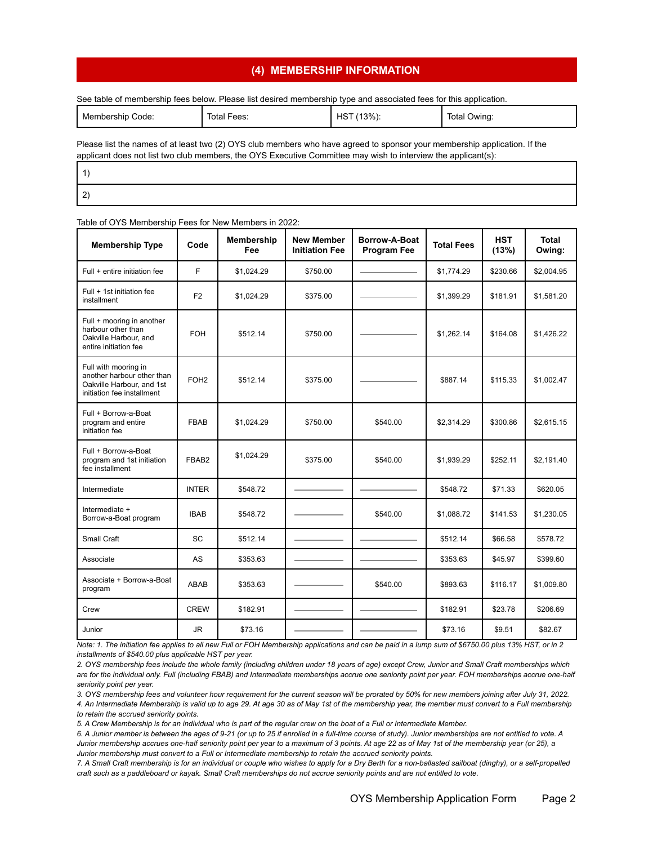#### **(4) MEMBERSHIP INFORMATION**

See table of membership fees below. Please list desired membership type and associated fees for this application.

| Membership<br>Code<br>_ _ _ _ | Total F<br>Fees:<br>. | $13\%$ ).<br>⊣െ<br>כר<br>___<br>$\sim$ | Total<br>Owing |
|-------------------------------|-----------------------|----------------------------------------|----------------|
|-------------------------------|-----------------------|----------------------------------------|----------------|

Please list the names of at least two (2) OYS club members who have agreed to sponsor your membership application. If the applicant does not list two club members, the OYS Executive Committee may wish to interview the applicant(s):

| - |  |  |
|---|--|--|

#### Table of OYS Membership Fees for New Members in 2022:

| <b>Membership Type</b>                                                                                        | Code             | <b>Membership</b><br>Fee | <b>New Member</b><br><b>Initiation Fee</b> | Borrow-A-Boat<br><b>Program Fee</b> | <b>Total Fees</b> | <b>HST</b><br>(13%) | <b>Total</b><br>Owing: |
|---------------------------------------------------------------------------------------------------------------|------------------|--------------------------|--------------------------------------------|-------------------------------------|-------------------|---------------------|------------------------|
| Full + entire initiation fee                                                                                  | F                | \$1,024.29               | \$750.00                                   |                                     | \$1,774.29        | \$230.66            | \$2,004.95             |
| Full + 1st initiation fee<br>installment                                                                      | F <sub>2</sub>   | \$1,024.29               | \$375.00                                   |                                     | \$1,399.29        | \$181.91            | \$1,581.20             |
| Full + mooring in another<br>harbour other than<br>Oakville Harbour, and<br>entire initiation fee             | <b>FOH</b>       | \$512.14                 | \$750.00                                   |                                     | \$1,262.14        | \$164.08            | \$1,426.22             |
| Full with mooring in<br>another harbour other than<br>Oakville Harbour, and 1st<br>initiation fee installment | FOH <sub>2</sub> | \$512.14                 | \$375.00                                   |                                     | \$887.14          | \$115.33            | \$1,002.47             |
| Full + Borrow-a-Boat<br>program and entire<br>initiation fee                                                  | <b>FBAB</b>      | \$1,024.29               | \$750.00                                   | \$540.00                            | \$2,314.29        | \$300.86            | \$2,615.15             |
| Full + Borrow-a-Boat<br>program and 1st initiation<br>fee installment                                         | FBAB2            | \$1,024.29               | \$375.00                                   | \$540.00                            | \$1,939.29        | \$252.11            | \$2,191.40             |
| Intermediate                                                                                                  | <b>INTER</b>     | \$548.72                 |                                            |                                     | \$548.72          | \$71.33             | \$620.05               |
| Intermediate +<br>Borrow-a-Boat program                                                                       | <b>IBAB</b>      | \$548.72                 |                                            | \$540.00                            | \$1,088.72        | \$141.53            | \$1,230.05             |
| Small Craft                                                                                                   | <b>SC</b>        | \$512.14                 |                                            |                                     | \$512.14          | \$66.58             | \$578.72               |
| Associate                                                                                                     | <b>AS</b>        | \$353.63                 |                                            |                                     | \$353.63          | \$45.97             | \$399.60               |
| Associate + Borrow-a-Boat<br>program                                                                          | <b>ABAB</b>      | \$353.63                 |                                            | \$540.00                            | \$893.63          | \$116.17            | \$1,009.80             |
| Crew                                                                                                          | <b>CREW</b>      | \$182.91                 |                                            |                                     | \$182.91          | \$23.78             | \$206.69               |
| Junior                                                                                                        | JR.              | \$73.16                  |                                            |                                     | \$73.16           | \$9.51              | \$82.67                |

Note: 1. The initiation fee applies to all new Full or FOH Membership applications and can be paid in a lump sum of \$6750.00 plus 13% HST, or in 2 *installments of \$540.00 plus applicable HST per year.*

2. OYS membership fees include the whole family (including children under 18 years of age) except Crew, Junior and Small Craft memberships which are for the individual only. Full (including FBAB) and Intermediate memberships accrue one seniority point per year. FOH memberships accrue one-half *seniority point per year.*

3. OYS membership fees and volunteer hour requirement for the current season will be prorated by 50% for new members joining after July 31, 2022. 4. An Intermediate Membership is valid up to age 29. At age 30 as of May 1st of the membership year, the member must convert to a Full membership

*to retain the accrued seniority points.*

5. A Crew Membership is for an individual who is part of the regular crew on the boat of a Full or Intermediate Member.

6. A Junior member is between the ages of 9-21 (or up to 25 if enrolled in a full-time course of study). Junior memberships are not entitled to vote. A Junior membership accrues one-half seniority point per year to a maximum of 3 points. At age 22 as of May 1st of the membership year (or 25), a *Junior membership must convert to a Full or Intermediate membership to retain the accrued seniority points.*

7. A Small Craft membership is for an individual or couple who wishes to apply for a Dry Berth for a non-ballasted sailboat (dinghy), or a self-propelled craft such as a paddleboard or kayak. Small Craft memberships do not accrue seniority points and are not entitled to vote.